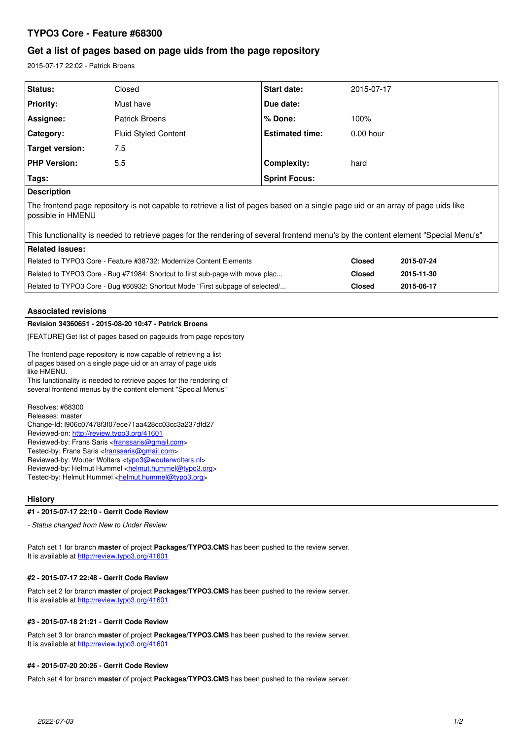# **TYPO3 Core - Feature #68300**

# **Get a list of pages based on page uids from the page repository**

2015-07-17 22:02 - Patrick Broens

| <b>Status:</b>      | Closed                      | <b>Start date:</b>     | 2015-07-17  |
|---------------------|-----------------------------|------------------------|-------------|
| <b>Priority:</b>    | Must have                   | Due date:              |             |
| Assignee:           | <b>Patrick Broens</b>       | % Done:                | 100%        |
| Category:           | <b>Fluid Styled Content</b> | <b>Estimated time:</b> | $0.00$ hour |
| Target version:     | 7.5                         |                        |             |
| <b>PHP Version:</b> | 5.5                         | <b>Complexity:</b>     | hard        |
| Tags:               |                             | <b>Sprint Focus:</b>   |             |
| <b>Description</b>  |                             |                        |             |

The frontend page repository is not capable to retrieve a list of pages based on a single page uid or an array of page uids like possible in HMENU

This functionality is needed to retrieve pages for the rendering of several frontend menu's by the content element "Special Menu's"

| <b>Related issues:</b>                                                        |               |            |
|-------------------------------------------------------------------------------|---------------|------------|
| Related to TYPO3 Core - Feature #38732: Modernize Content Elements            | Closed        | 2015-07-24 |
| Related to TYPO3 Core - Bug #71984: Shortcut to first sub-page with move plac | <b>Closed</b> | 2015-11-30 |
| Related to TYPO3 Core - Bug #66932: Shortcut Mode "First subpage of selected/ | Closed        | 2015-06-17 |

# **Associated revisions**

# **Revision 34360651 - 2015-08-20 10:47 - Patrick Broens**

[FEATURE] Get list of pages based on pageuids from page repository

The frontend page repository is now capable of retrieving a list of pages based on a single page uid or an array of page uids like HMENU. This functionality is needed to retrieve pages for the rendering of

several frontend menus by the content element "Special Menus"

Resolves: #68300 Releases: master Change-Id: I906c07478f3f07ece71aa428cc03cc3a237dfd27 Reviewed-on:<http://review.typo3.org/41601> Reviewed-by: Frans Saris <[franssaris@gmail.com>](mailto:franssaris@gmail.com) Tested-by: Frans Saris <[franssaris@gmail.com](mailto:franssaris@gmail.com)> Reviewed-by: Wouter Wolters <[typo3@wouterwolters.nl](mailto:typo3@wouterwolters.nl)> Reviewed-by: Helmut Hummel [<helmut.hummel@typo3.org](mailto:helmut.hummel@typo3.org)> Tested-by: Helmut Hummel [<helmut.hummel@typo3.org>](mailto:helmut.hummel@typo3.org)

## **History**

## **#1 - 2015-07-17 22:10 - Gerrit Code Review**

*- Status changed from New to Under Review*

Patch set 1 for branch **master** of project **Packages/TYPO3.CMS** has been pushed to the review server. It is available at <http://review.typo3.org/41601>

## **#2 - 2015-07-17 22:48 - Gerrit Code Review**

Patch set 2 for branch **master** of project **Packages/TYPO3.CMS** has been pushed to the review server. It is available at <http://review.typo3.org/41601>

### **#3 - 2015-07-18 21:21 - Gerrit Code Review**

Patch set 3 for branch **master** of project **Packages/TYPO3.CMS** has been pushed to the review server. It is available at <http://review.typo3.org/41601>

#### **#4 - 2015-07-20 20:26 - Gerrit Code Review**

Patch set 4 for branch **master** of project **Packages/TYPO3.CMS** has been pushed to the review server.